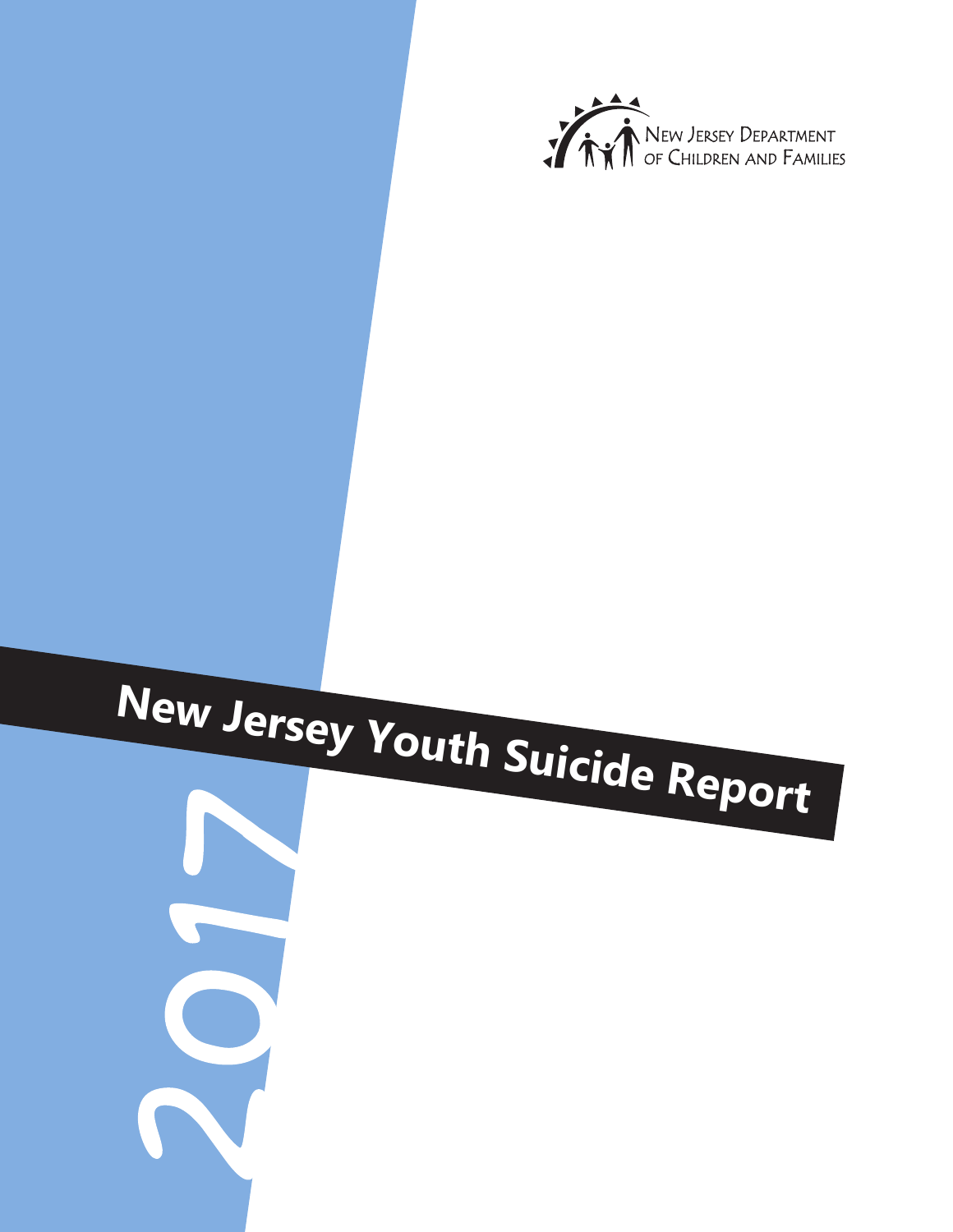

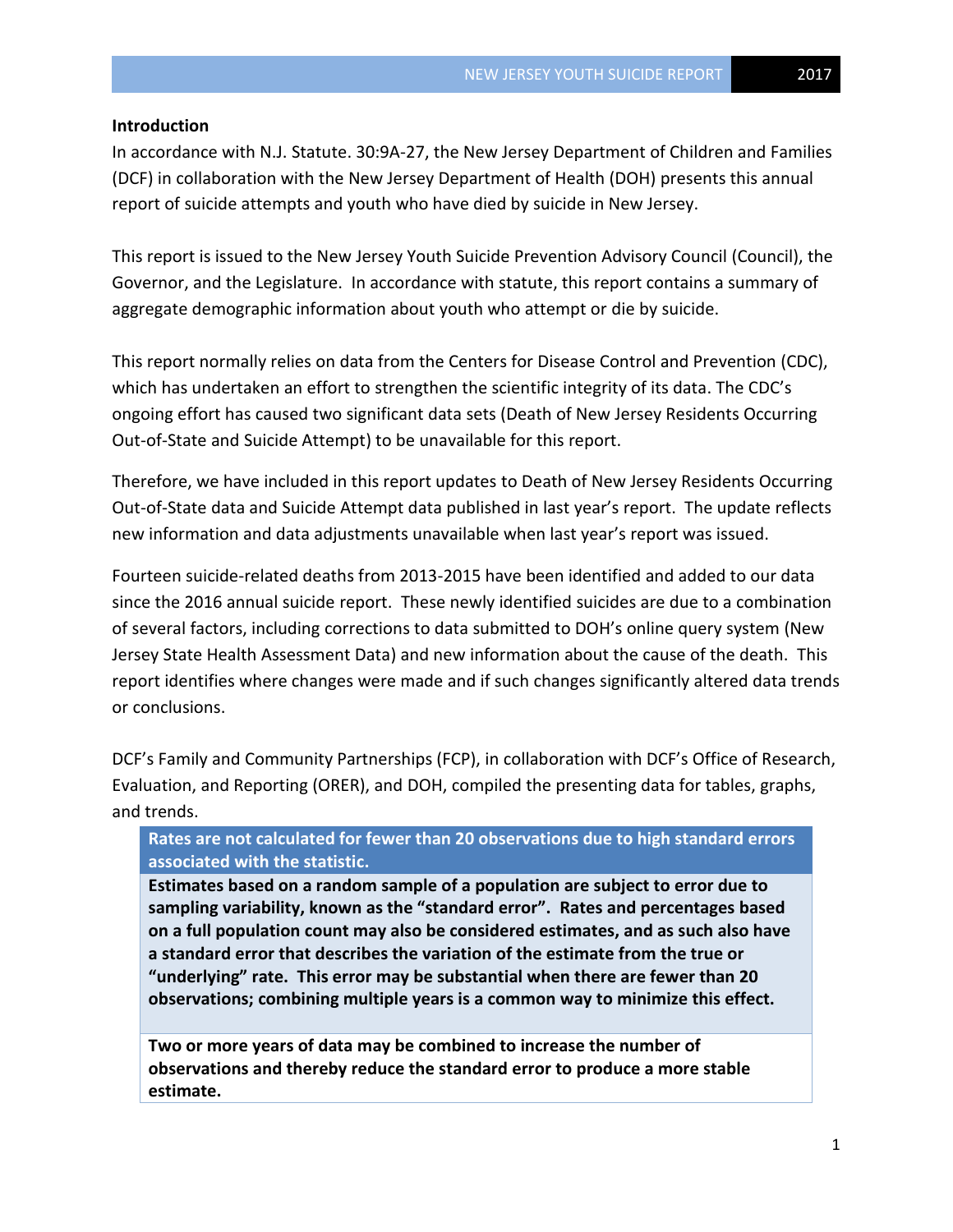#### **Introduction**

In accordance with N.J. Statute. 30:9A-27, the New Jersey Department of Children and Families (DCF) in collaboration with the New Jersey Department of Health (DOH) presents this annual report of suicide attempts and youth who have died by suicide in New Jersey.

This report is issued to the New Jersey Youth Suicide Prevention Advisory Council (Council), the Governor, and the Legislature. In accordance with statute, this report contains a summary of aggregate demographic information about youth who attempt or die by suicide.

This report normally relies on data from the Centers for Disease Control and Prevention (CDC), which has undertaken an effort to strengthen the scientific integrity of its data. The CDC's ongoing effort has caused two significant data sets (Death of New Jersey Residents Occurring Out-of-State and Suicide Attempt) to be unavailable for this report.

Therefore, we have included in this report updates to Death of New Jersey Residents Occurring Out-of-State data and Suicide Attempt data published in last year's report. The update reflects new information and data adjustments unavailable when last year's report was issued.

Fourteen suicide-related deaths from 2013-2015 have been identified and added to our data since the 2016 annual suicide report. These newly identified suicides are due to a combination of several factors, including corrections to data submitted to DOH's online query system (New Jersey State Health Assessment Data) and new information about the cause of the death. This report identifies where changes were made and if such changes significantly altered data trends or conclusions.

DCF's Family and Community Partnerships (FCP), in collaboration with DCF's Office of Research, Evaluation, and Reporting (ORER), and DOH, compiled the presenting data for tables, graphs, and trends.

# **Rates are not calculated for fewer than 20 observations due to high standard errors associated with the statistic.**

**Estimates based on a random sample of a population are subject to error due to sampling variability, known as the "standard error". Rates and percentages based on a full population count may also be considered estimates, and as such also have a standard error that describes the variation of the estimate from the true or "underlying" rate. This error may be substantial when there are fewer than 20 observations; combining multiple years is a common way to minimize this effect.** 

**Two or more years of data may be combined to increase the number of observations and thereby reduce the standard error to produce a more stable estimate.**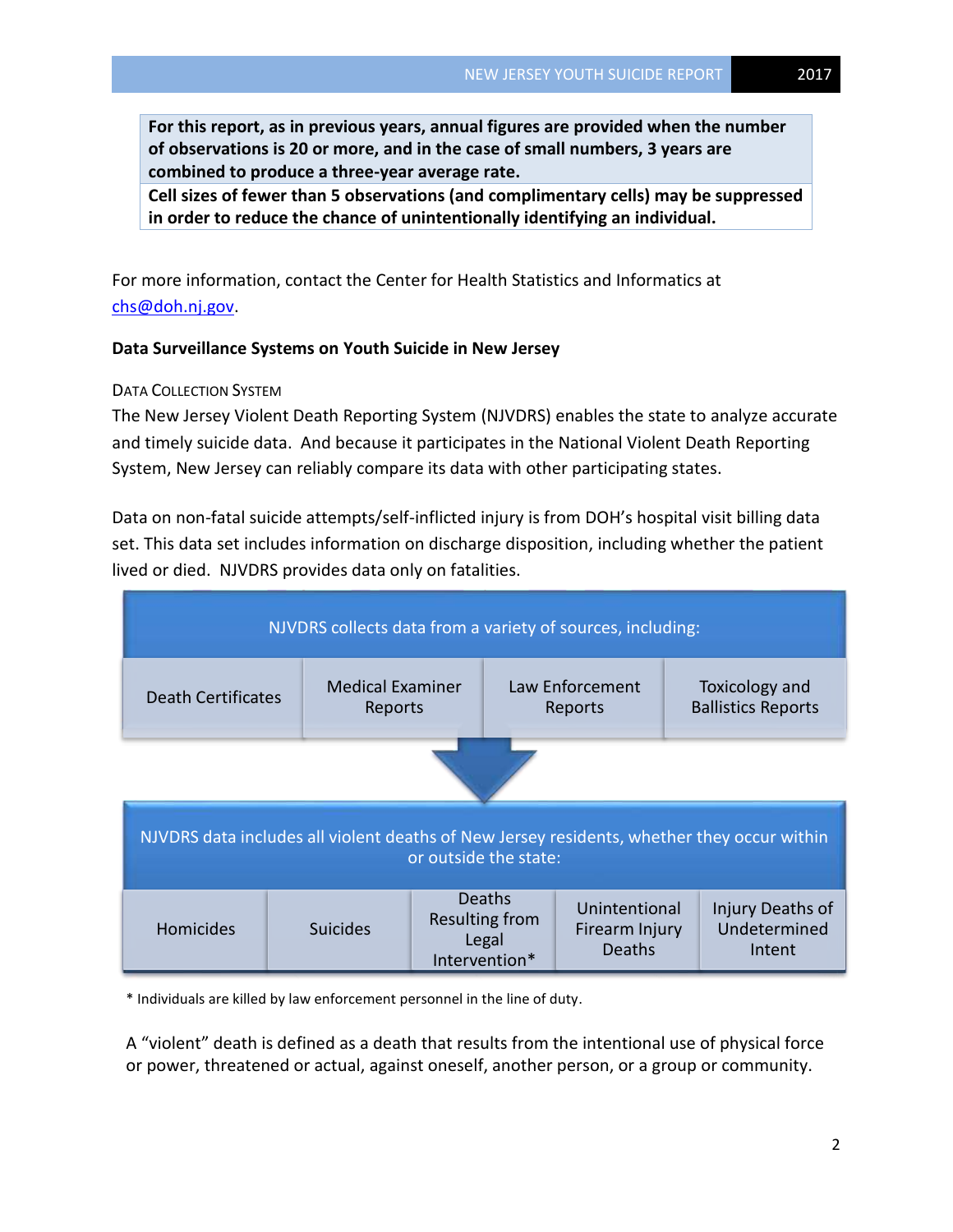**For this report, as in previous years, annual figures are provided when the number of observations is 20 or more, and in the case of small numbers, 3 years are combined to produce a three-year average rate.**

**Cell sizes of fewer than 5 observations (and complimentary cells) may be suppressed in order to reduce the chance of unintentionally identifying an individual.**

For more information, contact the Center for Health Statistics and Informatics at [chs@doh.nj.gov.](mailto:chs@doh.nj.gov)

# **Data Surveillance Systems on Youth Suicide in New Jersey**

#### DATA COLLECTION SYSTEM

The New Jersey Violent Death Reporting System (NJVDRS) enables the state to analyze accurate and timely suicide data. And because it participates in the National Violent Death Reporting System, New Jersey can reliably compare its data with other participating states.

Data on non-fatal suicide attempts/self-inflicted injury is from DOH's hospital visit billing data set. This data set includes information on discharge disposition, including whether the patient lived or died. NJVDRS provides data only on fatalities.



\* Individuals are killed by law enforcement personnel in the line of duty.

A "violent" death is defined as a death that results from the intentional use of physical force or power, threatened or actual, against oneself, another person, or a group or community.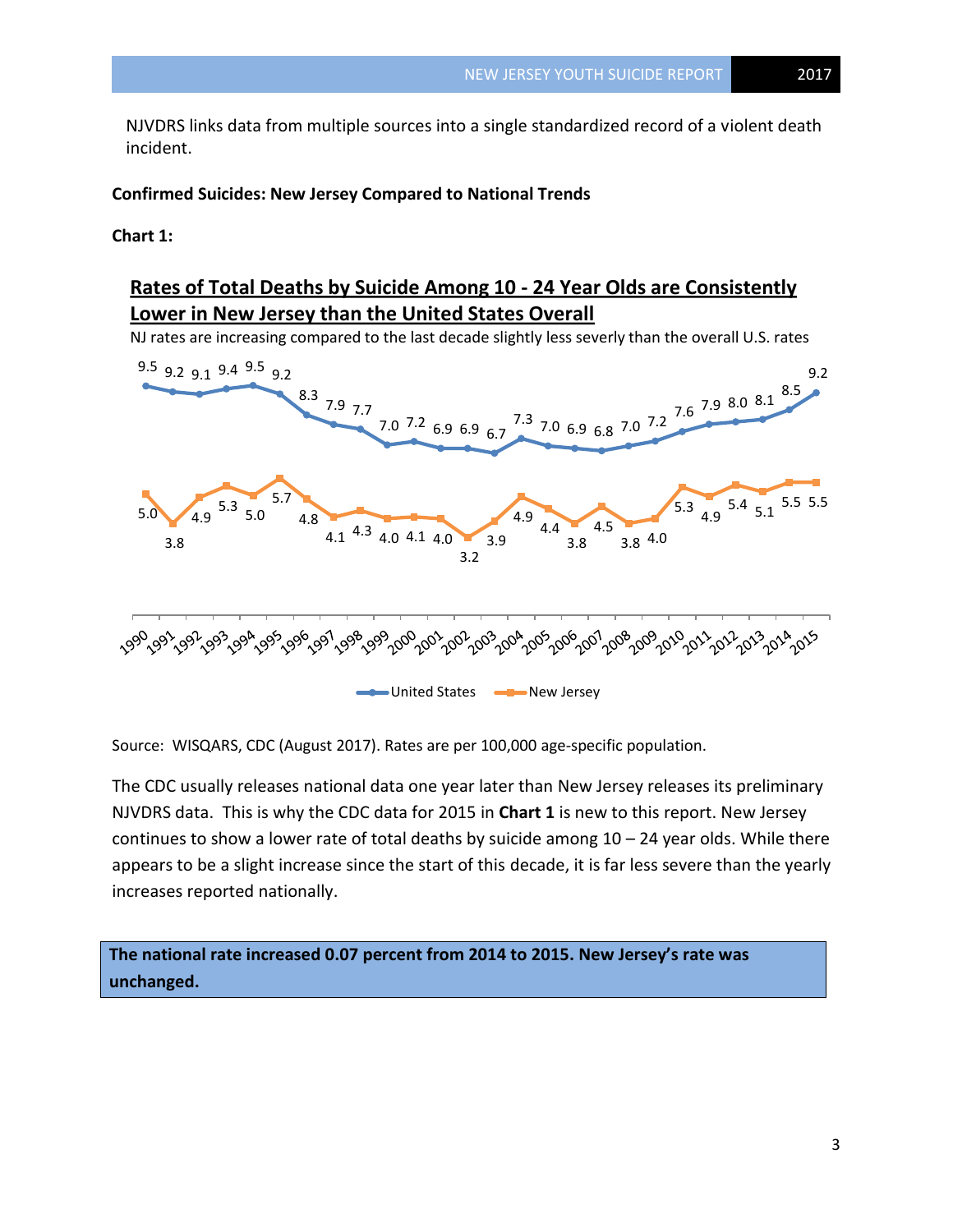NJVDRS links data from multiple sources into a single standardized record of a violent death incident.

# **Confirmed Suicides: New Jersey Compared to National Trends**

**Chart 1:** 

# **Rates of Total Deaths by Suicide Among 10 - 24 Year Olds are Consistently Lower in New Jersey than the United States Overall**

NJ rates are increasing compared to the last decade slightly less severly than the overall U.S. rates



Source: WISQARS, CDC (August 2017). Rates are per 100,000 age-specific population.

The CDC usually releases national data one year later than New Jersey releases its preliminary NJVDRS data. This is why the CDC data for 2015 in **Chart 1** is new to this report. New Jersey continues to show a lower rate of total deaths by suicide among 10 – 24 year olds. While there appears to be a slight increase since the start of this decade, it is far less severe than the yearly increases reported nationally.

**The national rate increased 0.07 percent from 2014 to 2015. New Jersey's rate was unchanged.**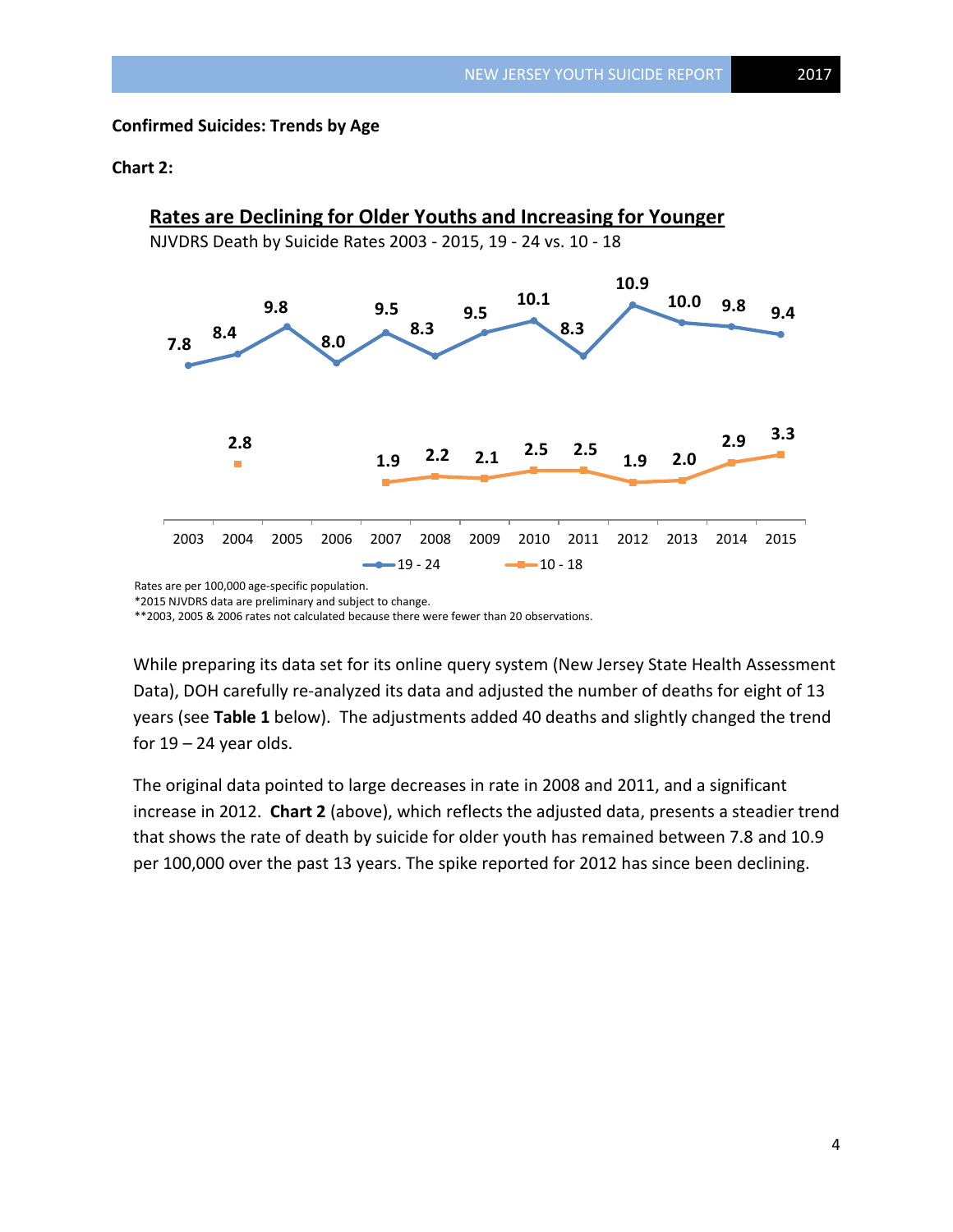## **Confirmed Suicides: Trends by Age**

#### **Chart 2:**



Rates are per 100,000 age-specific population.

\*2015 NJVDRS data are preliminary and subject to change.

\*\*2003, 2005 & 2006 rates not calculated because there were fewer than 20 observations.

While preparing its data set for its online query system (New Jersey State Health Assessment Data), DOH carefully re-analyzed its data and adjusted the number of deaths for eight of 13 years (see **Table 1** below). The adjustments added 40 deaths and slightly changed the trend for  $19 - 24$  year olds.

The original data pointed to large decreases in rate in 2008 and 2011, and a significant increase in 2012. **Chart 2** (above), which reflects the adjusted data, presents a steadier trend that shows the rate of death by suicide for older youth has remained between 7.8 and 10.9 per 100,000 over the past 13 years. The spike reported for 2012 has since been declining.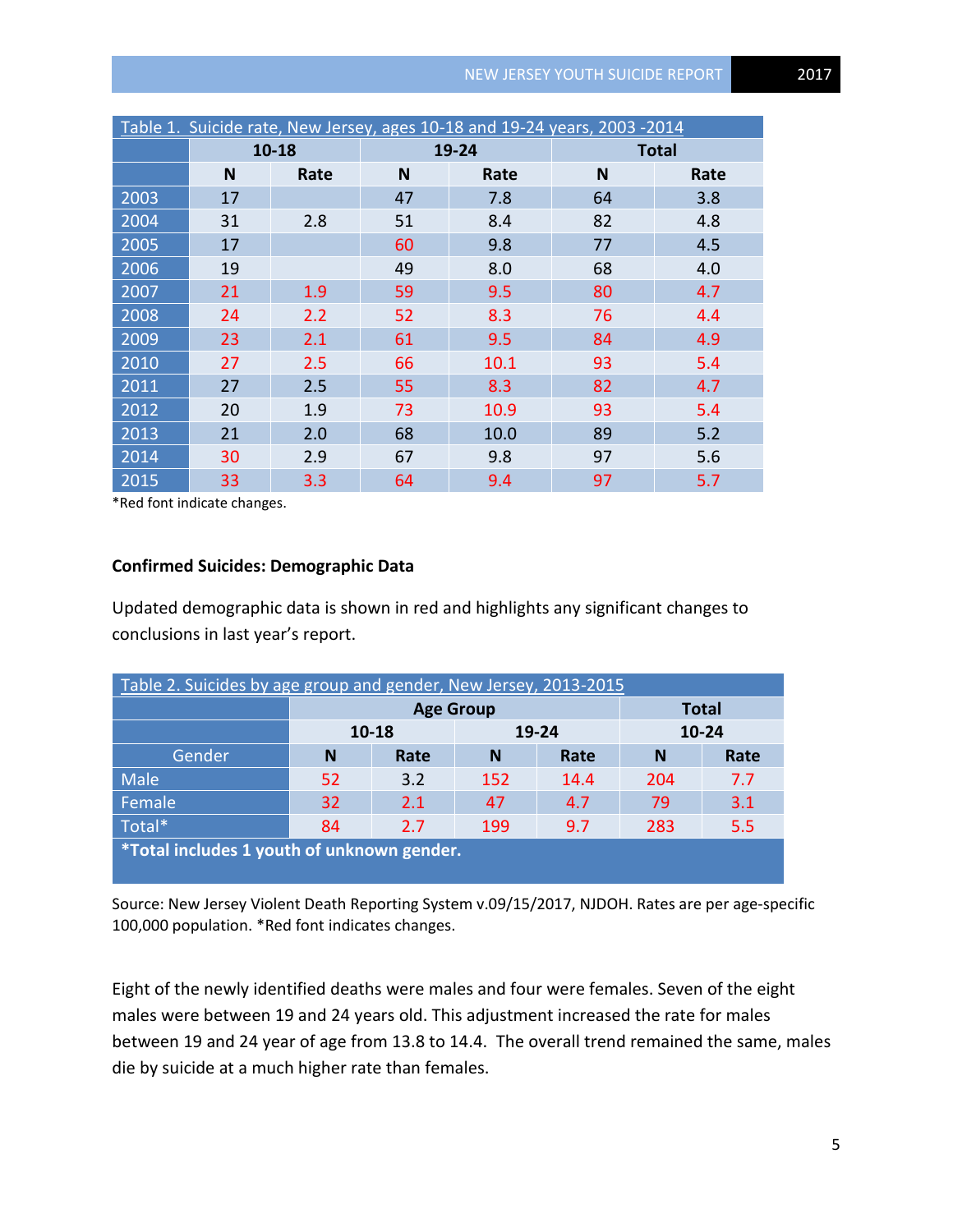| Table 1. Suicide rate, New Jersey, ages 10-18 and 19-24 years, 2003 -2014 |           |      |    |       |              |      |  |  |  |  |  |
|---------------------------------------------------------------------------|-----------|------|----|-------|--------------|------|--|--|--|--|--|
|                                                                           | $10 - 18$ |      |    | 19-24 | <b>Total</b> |      |  |  |  |  |  |
|                                                                           | N         | Rate | N  | Rate  | N            | Rate |  |  |  |  |  |
| 2003                                                                      | 17        |      | 47 | 7.8   | 64           | 3.8  |  |  |  |  |  |
| 2004                                                                      | 31        | 2.8  | 51 | 8.4   | 82           | 4.8  |  |  |  |  |  |
| 2005                                                                      | 17        |      | 60 | 9.8   | 77           | 4.5  |  |  |  |  |  |
| 2006                                                                      | 19        |      | 49 | 8.0   | 68           | 4.0  |  |  |  |  |  |
| 2007                                                                      | 21        | 1.9  | 59 | 9.5   | 80           | 4.7  |  |  |  |  |  |
| 2008                                                                      | 24        | 2.2  | 52 | 8.3   | 76           | 4.4  |  |  |  |  |  |
| 2009                                                                      | 23        | 2.1  | 61 | 9.5   | 84           | 4.9  |  |  |  |  |  |
| 2010                                                                      | 27        | 2.5  | 66 | 10.1  | 93           | 5.4  |  |  |  |  |  |
| 2011                                                                      | 27        | 2.5  | 55 | 8.3   | 82           | 4.7  |  |  |  |  |  |
| 2012                                                                      | 20        | 1.9  | 73 | 10.9  | 93           | 5.4  |  |  |  |  |  |
| 2013                                                                      | 21        | 2.0  | 68 | 10.0  | 89           | 5.2  |  |  |  |  |  |
| 2014                                                                      | 30        | 2.9  | 67 | 9.8   | 97           | 5.6  |  |  |  |  |  |
| 2015                                                                      | 33        | 3.3  | 64 | 9.4   | 97           | 5.7  |  |  |  |  |  |

\*Red font indicate changes.

# **Confirmed Suicides: Demographic Data**

Updated demographic data is shown in red and highlights any significant changes to conclusions in last year's report.

| Table 2. Suicides by age group and gender, New Jersey, 2013-2015 |       |                  |              |      |     |      |  |  |  |  |  |
|------------------------------------------------------------------|-------|------------------|--------------|------|-----|------|--|--|--|--|--|
|                                                                  |       | <b>Age Group</b> | <b>Total</b> |      |     |      |  |  |  |  |  |
|                                                                  | 10-18 |                  | $10 - 24$    |      |     |      |  |  |  |  |  |
| Gender                                                           | N     | Rate             | N            | Rate | N   | Rate |  |  |  |  |  |
| Male                                                             | 52    | 3.2              | 152          | 14.4 | 204 | 7.7  |  |  |  |  |  |
| Female                                                           | 32    | 2.1              | 47           | 4.7  | 79  | 3.1  |  |  |  |  |  |
| Total*                                                           | 283   | 5.5              |              |      |     |      |  |  |  |  |  |
| *Total includes 1 youth of unknown gender.                       |       |                  |              |      |     |      |  |  |  |  |  |

Source: New Jersey Violent Death Reporting System v.09/15/2017, NJDOH. Rates are per age-specific 100,000 population. \*Red font indicates changes.

Eight of the newly identified deaths were males and four were females. Seven of the eight males were between 19 and 24 years old. This adjustment increased the rate for males between 19 and 24 year of age from 13.8 to 14.4. The overall trend remained the same, males die by suicide at a much higher rate than females.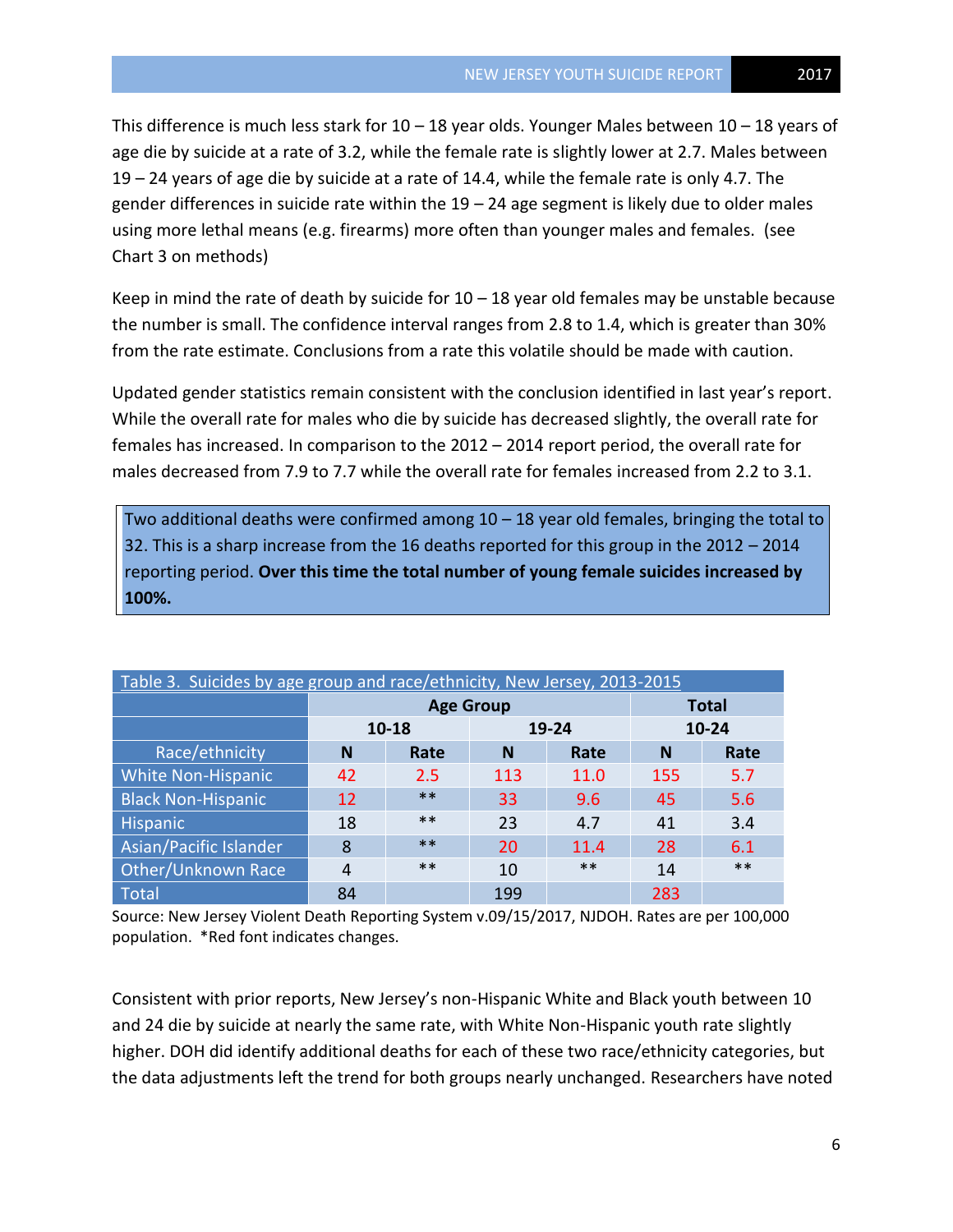This difference is much less stark for  $10 - 18$  year olds. Younger Males between  $10 - 18$  years of age die by suicide at a rate of 3.2, while the female rate is slightly lower at 2.7. Males between 19 – 24 years of age die by suicide at a rate of 14.4, while the female rate is only 4.7. The gender differences in suicide rate within the 19 – 24 age segment is likely due to older males using more lethal means (e.g. firearms) more often than younger males and females. (see Chart 3 on methods)

Keep in mind the rate of death by suicide for  $10 - 18$  year old females may be unstable because the number is small. The confidence interval ranges from 2.8 to 1.4, which is greater than 30% from the rate estimate. Conclusions from a rate this volatile should be made with caution.

Updated gender statistics remain consistent with the conclusion identified in last year's report. While the overall rate for males who die by suicide has decreased slightly, the overall rate for females has increased. In comparison to the 2012 – 2014 report period, the overall rate for males decreased from 7.9 to 7.7 while the overall rate for females increased from 2.2 to 3.1.

Two additional deaths were confirmed among 10 – 18 year old females, bringing the total to 32. This is a sharp increase from the 16 deaths reported for this group in the 2012 – 2014 reporting period. **Over this time the total number of young female suicides increased by 100%.**

| Table 3. Suicides by age group and race/ethnicity, New Jersey, 2013-2015 |             |                  |              |       |       |       |  |  |  |  |
|--------------------------------------------------------------------------|-------------|------------------|--------------|-------|-------|-------|--|--|--|--|
|                                                                          |             | <b>Age Group</b> | <b>Total</b> |       |       |       |  |  |  |  |
|                                                                          |             | 10-18            |              | 19-24 | 10-24 |       |  |  |  |  |
| Race/ethnicity                                                           | N           | Rate             | N            | Rate  | N     | Rate  |  |  |  |  |
| <b>White Non-Hispanic</b>                                                | 42          | 2.5              | 113          | 11.0  | 155   | 5.7   |  |  |  |  |
| <b>Black Non-Hispanic</b>                                                | $***$<br>12 |                  | 33           | 9.6   |       | 5.6   |  |  |  |  |
| Hispanic                                                                 | 18          | $***$            | 23           | 4.7   | 41    | 3.4   |  |  |  |  |
| Asian/Pacific Islander                                                   | 8           | $***$            | 20           | 11.4  | 28    | 6.1   |  |  |  |  |
| Other/Unknown Race                                                       | 4           | $***$            | $***$<br>10  |       | 14    | $***$ |  |  |  |  |
| Total                                                                    | 84          |                  | 199          |       | 283   |       |  |  |  |  |

Source: New Jersey Violent Death Reporting System v.09/15/2017, NJDOH. Rates are per 100,000 population. \*Red font indicates changes.

Consistent with prior reports, New Jersey's non-Hispanic White and Black youth between 10 and 24 die by suicide at nearly the same rate, with White Non-Hispanic youth rate slightly higher. DOH did identify additional deaths for each of these two race/ethnicity categories, but the data adjustments left the trend for both groups nearly unchanged. Researchers have noted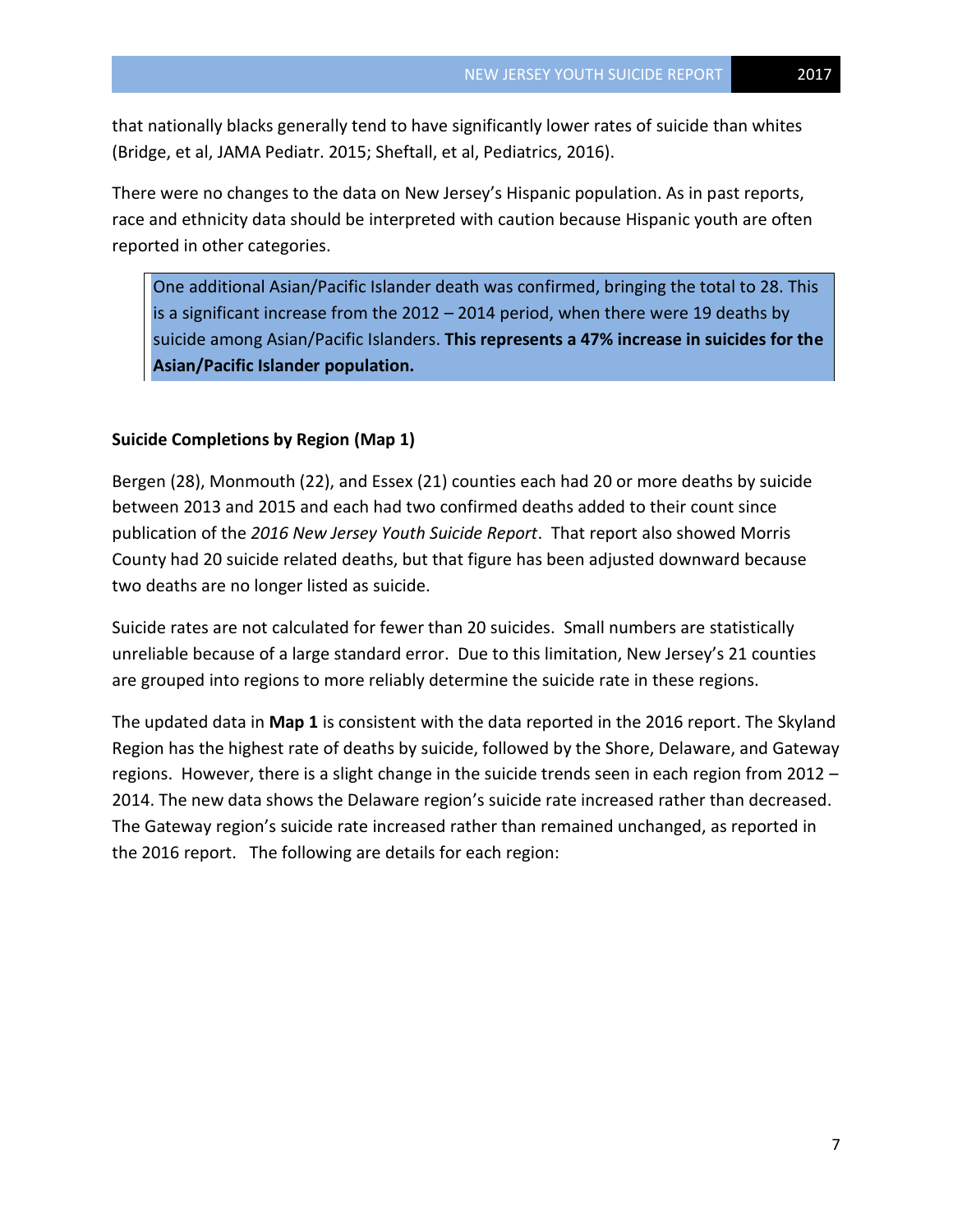that nationally blacks generally tend to have significantly lower rates of suicide than whites (Bridge, et al, JAMA Pediatr. 2015; Sheftall, et al, Pediatrics, 2016).

There were no changes to the data on New Jersey's Hispanic population. As in past reports, race and ethnicity data should be interpreted with caution because Hispanic youth are often reported in other categories.

One additional Asian/Pacific Islander death was confirmed, bringing the total to 28. This is a significant increase from the 2012 – 2014 period, when there were 19 deaths by suicide among Asian/Pacific Islanders. **This represents a 47% increase in suicides for the Asian/Pacific Islander population.**

# **Suicide Completions by Region (Map 1)**

Bergen (28), Monmouth (22), and Essex (21) counties each had 20 or more deaths by suicide between 2013 and 2015 and each had two confirmed deaths added to their count since publication of the *2016 New Jersey Youth Suicide Report*. That report also showed Morris County had 20 suicide related deaths, but that figure has been adjusted downward because two deaths are no longer listed as suicide.

Suicide rates are not calculated for fewer than 20 suicides. Small numbers are statistically unreliable because of a large standard error. Due to this limitation, New Jersey's 21 counties are grouped into regions to more reliably determine the suicide rate in these regions.

The updated data in **Map 1** is consistent with the data reported in the 2016 report. The Skyland Region has the highest rate of deaths by suicide, followed by the Shore, Delaware, and Gateway regions. However, there is a slight change in the suicide trends seen in each region from 2012 – 2014. The new data shows the Delaware region's suicide rate increased rather than decreased. The Gateway region's suicide rate increased rather than remained unchanged, as reported in the 2016 report. The following are details for each region: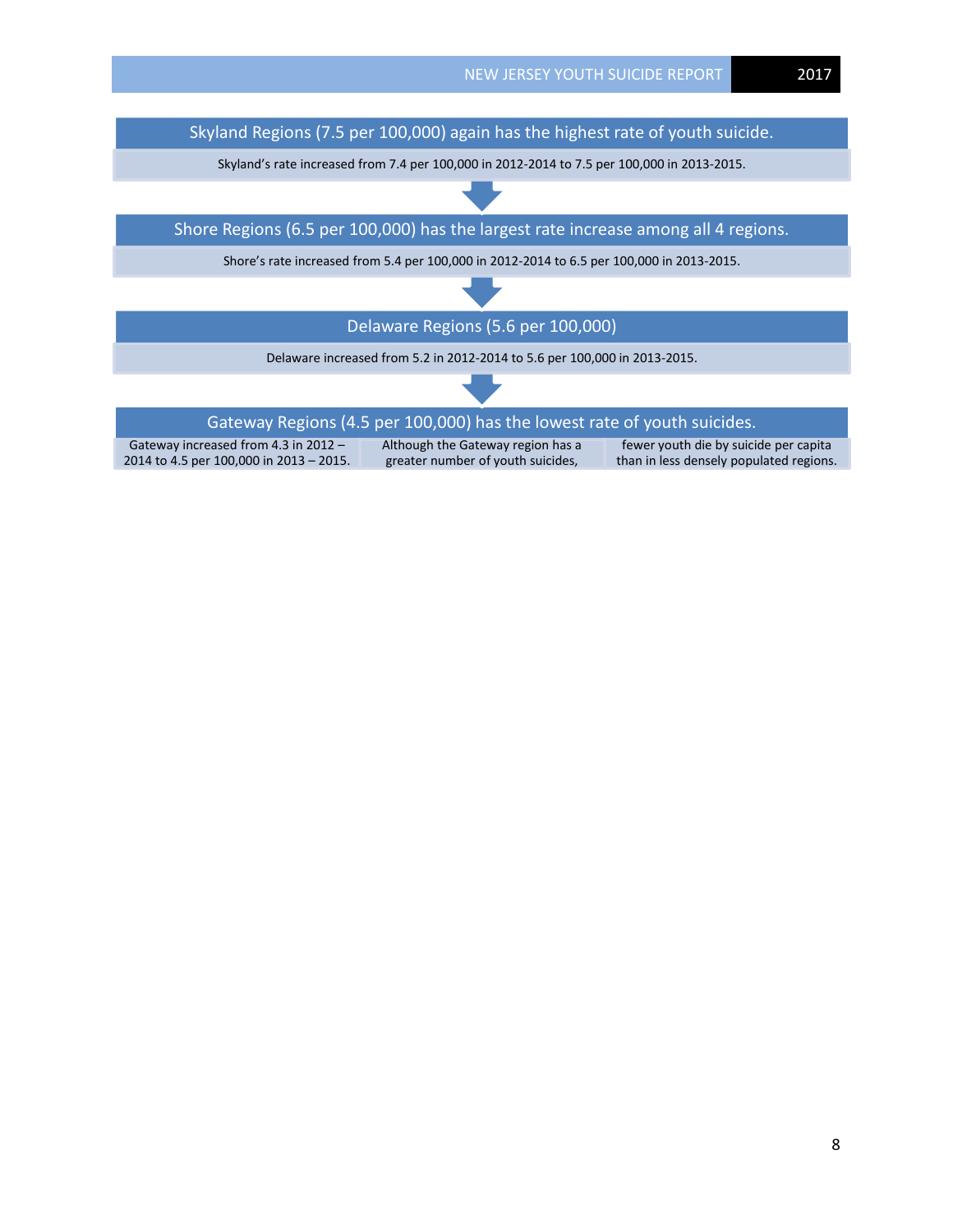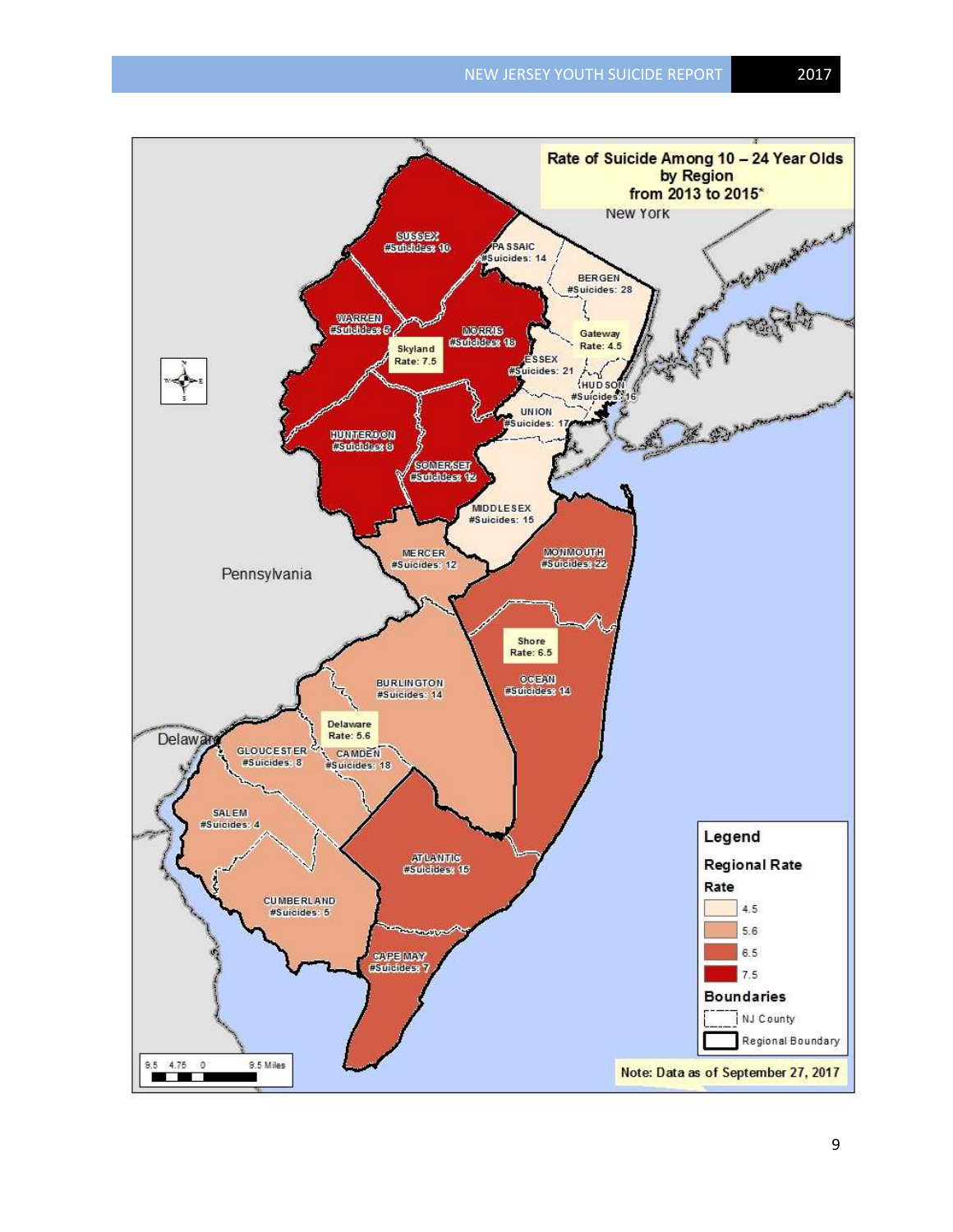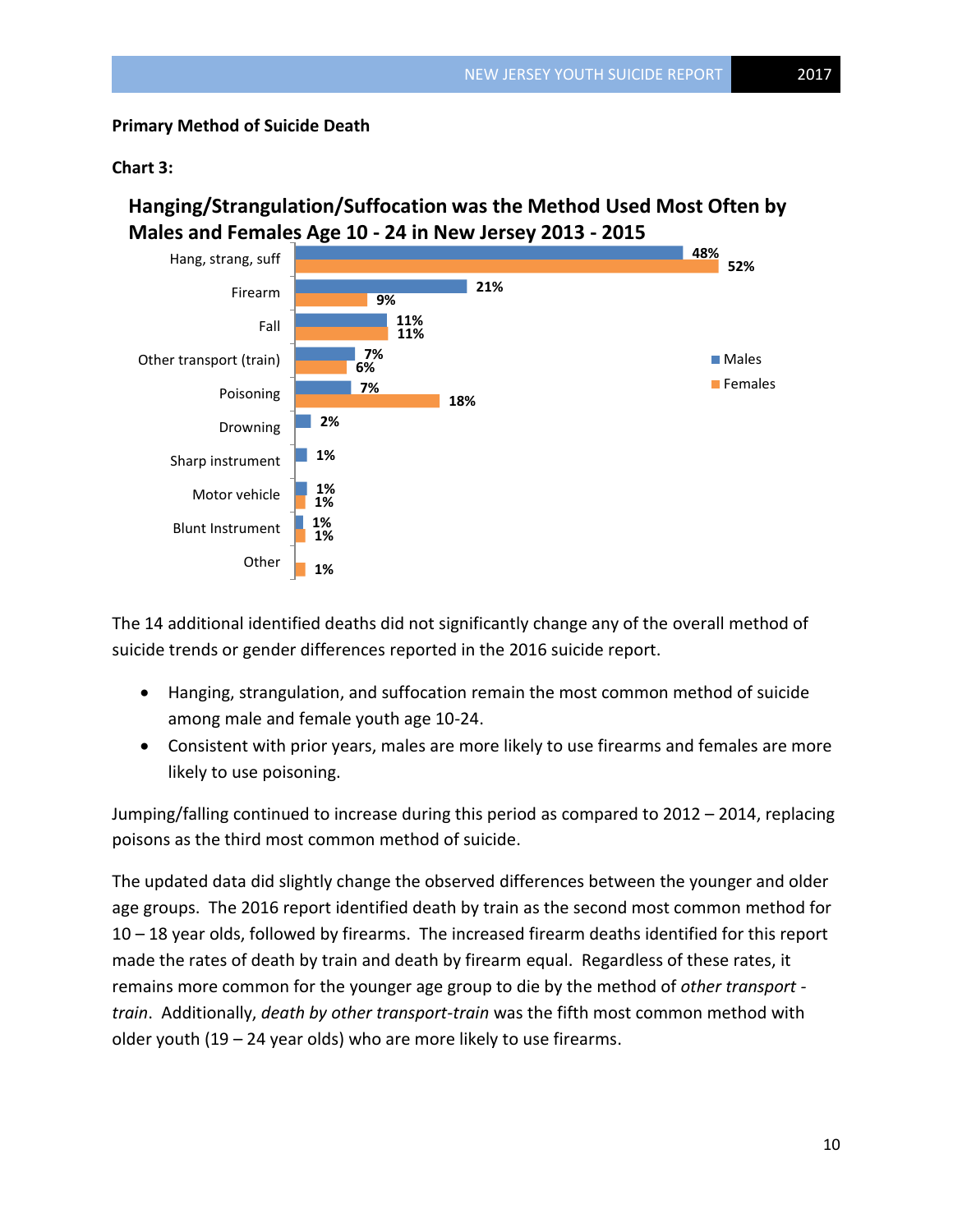# **Primary Method of Suicide Death**

#### **Chart 3:**

**Hanging/Strangulation/Suffocation was the Method Used Most Often by Males and Females Age 10 - 24 in New Jersey 2013 - 2015**



The 14 additional identified deaths did not significantly change any of the overall method of suicide trends or gender differences reported in the 2016 suicide report.

- Hanging, strangulation, and suffocation remain the most common method of suicide among male and female youth age 10-24.
- Consistent with prior years, males are more likely to use firearms and females are more likely to use poisoning.

Jumping/falling continued to increase during this period as compared to 2012 – 2014, replacing poisons as the third most common method of suicide.

The updated data did slightly change the observed differences between the younger and older age groups. The 2016 report identified death by train as the second most common method for 10 – 18 year olds, followed by firearms. The increased firearm deaths identified for this report made the rates of death by train and death by firearm equal. Regardless of these rates, it remains more common for the younger age group to die by the method of *other transport train*. Additionally, *death by other transport-train* was the fifth most common method with older youth (19 – 24 year olds) who are more likely to use firearms.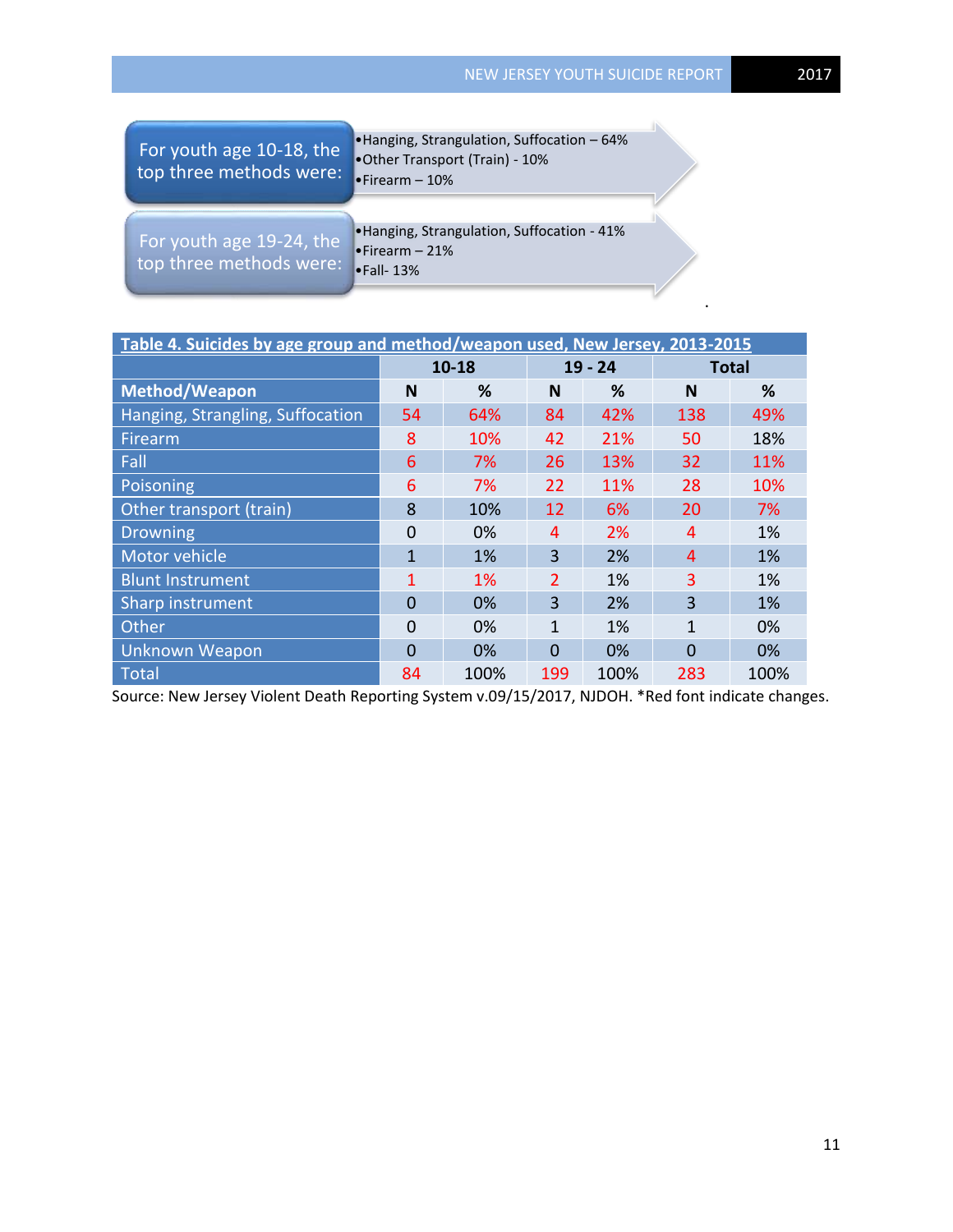.

| For youth age 10-18, the<br>top three methods were: | •Hanging, Strangulation, Suffocation - 64%<br>.Other Transport (Train) - 10%<br>$\bullet$ Firearm - 10% |  |
|-----------------------------------------------------|---------------------------------------------------------------------------------------------------------|--|
| For youth age 19-24, the<br>top three methods were: | •Hanging, Strangulation, Suffocation - 41%<br>$\bullet$ Firearm - 21%<br>$\bullet$ Fall-13%             |  |

| Table 4. Suicides by age group and method/weapon used, New Jersey, 2013-2015 |                |       |               |           |              |      |  |  |  |  |
|------------------------------------------------------------------------------|----------------|-------|---------------|-----------|--------------|------|--|--|--|--|
|                                                                              | $10 - 18$      |       |               | $19 - 24$ | <b>Total</b> |      |  |  |  |  |
| <b>Method/Weapon</b>                                                         | N              | %     | N             | %         | N            | %    |  |  |  |  |
| Hanging, Strangling, Suffocation                                             | 54             | 64%   | 84            | 42%       | 138          | 49%  |  |  |  |  |
| Firearm                                                                      | 8              | 10%   | 42            | 21%       | 50           | 18%  |  |  |  |  |
| Fall                                                                         | 6              | 7%    | 26            | 13%       | 32           | 11%  |  |  |  |  |
| Poisoning                                                                    | 6              | 7%    | 22            | 11%       | 28           | 10%  |  |  |  |  |
| Other transport (train)                                                      | 8              | 10%   | 12            | 6%        | 20           | 7%   |  |  |  |  |
| <b>Drowning</b>                                                              | $\Omega$       | 0%    | 4             | 2%        | 4            | 1%   |  |  |  |  |
| Motor vehicle                                                                | $\mathbf{1}$   | 1%    | 3             | 2%        | 4            | 1%   |  |  |  |  |
| <b>Blunt Instrument</b>                                                      | 1              | $1\%$ | $\mathcal{P}$ | 1%        | 3            | 1%   |  |  |  |  |
| Sharp instrument                                                             | $\overline{0}$ | 0%    | 3             | 2%        | 3            | 1%   |  |  |  |  |
| Other                                                                        | $\Omega$       | 0%    | 1             | 1%        | 1            | 0%   |  |  |  |  |
| <b>Unknown Weapon</b>                                                        | $\overline{0}$ | $0\%$ | 0             | 0%        | 0            | 0%   |  |  |  |  |
| <b>Total</b>                                                                 | 84             | 100%  | 199           | 100%      | 283          | 100% |  |  |  |  |

Source: New Jersey Violent Death Reporting System v.09/15/2017, NJDOH. \*Red font indicate changes.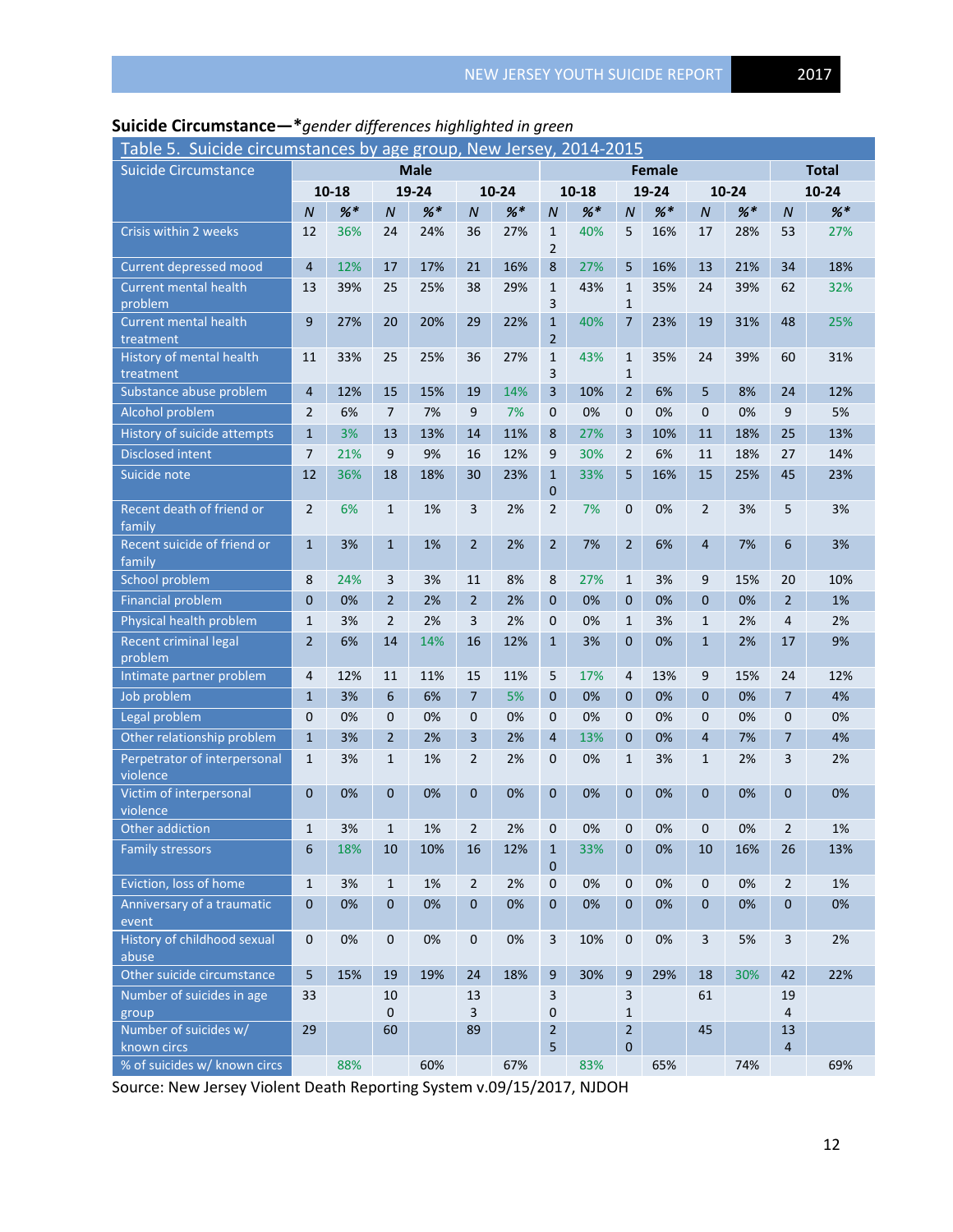| Table 5. Suicide circumstances by age group, New Jersey, 2014-2015 |                |           |                |         |                  |                               |                                |           |                              |       |                |         |                |       |
|--------------------------------------------------------------------|----------------|-----------|----------------|---------|------------------|-------------------------------|--------------------------------|-----------|------------------------------|-------|----------------|---------|----------------|-------|
| <b>Suicide Circumstance</b>                                        | <b>Male</b>    |           |                |         |                  | <b>Total</b><br><b>Female</b> |                                |           |                              |       |                |         |                |       |
|                                                                    |                | $10 - 18$ |                | 19-24   |                  | $10 - 24$                     |                                | $10 - 18$ |                              | 19-24 |                | 10-24   |                | 10-24 |
|                                                                    | $\overline{N}$ | $%$ $*$   | $\overline{N}$ | $%$ $*$ | $\boldsymbol{N}$ | $%$ $*$                       | $\boldsymbol{N}$               | $%$ *     | ${\cal N}$                   | $%$ * | $\overline{N}$ | $%$ $*$ | $\overline{N}$ | $%$ * |
| Crisis within 2 weeks                                              | 12             | 36%       | 24             | 24%     | 36               | 27%                           | $\mathbf{1}$<br>$\overline{2}$ | 40%       | 5                            | 16%   | 17             | 28%     | 53             | 27%   |
| Current depressed mood                                             | $\overline{4}$ | 12%       | 17             | 17%     | 21               | 16%                           | 8                              | 27%       | 5                            | 16%   | 13             | 21%     | 34             | 18%   |
| <b>Current mental health</b>                                       | 13             | 39%       | 25             | 25%     | 38               | 29%                           | $\mathbf{1}$                   | 43%       | $\mathbf{1}$                 | 35%   | 24             | 39%     | 62             | 32%   |
| problem                                                            |                |           |                |         |                  |                               | 3                              |           | $\mathbf{1}$                 |       |                |         |                |       |
| <b>Current mental health</b><br>treatment                          | 9              | 27%       | 20             | 20%     | 29               | 22%                           | $\mathbf{1}$<br>$\overline{2}$ | 40%       | 7                            | 23%   | 19             | 31%     | 48             | 25%   |
| History of mental health<br>treatment                              | 11             | 33%       | 25             | 25%     | 36               | 27%                           | $\mathbf{1}$<br>3              | 43%       | $\mathbf{1}$<br>$\mathbf{1}$ | 35%   | 24             | 39%     | 60             | 31%   |
| Substance abuse problem                                            | $\overline{4}$ | 12%       | 15             | 15%     | 19               | 14%                           | $\overline{3}$                 | 10%       | $\overline{2}$               | 6%    | 5              | 8%      | 24             | 12%   |
| Alcohol problem                                                    | $\overline{2}$ | 6%        | $\overline{7}$ | 7%      | 9                | 7%                            | $\mathbf{0}$                   | 0%        | $\mathbf 0$                  | 0%    | 0              | 0%      | 9              | 5%    |
| History of suicide attempts                                        | $\mathbf{1}$   | 3%        | 13             | 13%     | 14               | 11%                           | 8                              | 27%       | 3                            | 10%   | 11             | 18%     | 25             | 13%   |
| <b>Disclosed intent</b>                                            | 7              | 21%       | 9              | 9%      | 16               | 12%                           | 9                              | 30%       | $\overline{2}$               | 6%    | 11             | 18%     | 27             | 14%   |
| Suicide note                                                       | 12             | 36%       | 18             | 18%     | 30               | 23%                           | $\mathbf{1}$<br>$\pmb{0}$      | 33%       | 5                            | 16%   | 15             | 25%     | 45             | 23%   |
| Recent death of friend or<br>family                                | $\overline{2}$ | 6%        | $\mathbf{1}$   | 1%      | 3                | 2%                            | $\overline{2}$                 | 7%        | $\mathbf 0$                  | 0%    | $\overline{2}$ | 3%      | 5              | 3%    |
| Recent suicide of friend or<br>family                              | $\mathbf{1}$   | 3%        | $\mathbf{1}$   | 1%      | $\overline{2}$   | 2%                            | $\overline{2}$                 | 7%        | $\overline{2}$               | 6%    | $\overline{4}$ | 7%      | 6              | 3%    |
| School problem                                                     | 8              | 24%       | 3              | 3%      | 11               | 8%                            | 8                              | 27%       | $\mathbf{1}$                 | 3%    | 9              | 15%     | 20             | 10%   |
| <b>Financial problem</b>                                           | $\mathbf{0}$   | 0%        | $\overline{2}$ | 2%      | $\overline{2}$   | 2%                            | $\overline{0}$                 | 0%        | $\mathbf{0}$                 | 0%    | $\mathbf{0}$   | 0%      | $\overline{2}$ | 1%    |
| Physical health problem                                            | $\mathbf{1}$   | 3%        | $\overline{2}$ | 2%      | 3                | 2%                            | $\mathbf{0}$                   | 0%        | $\mathbf{1}$                 | 3%    | $\mathbf{1}$   | 2%      | 4              | 2%    |
| Recent criminal legal<br>problem                                   | $\overline{2}$ | 6%        | 14             | 14%     | 16               | 12%                           | $\mathbf{1}$                   | 3%        | $\mathbf{0}$                 | 0%    | $\mathbf{1}$   | 2%      | 17             | 9%    |
| Intimate partner problem                                           | 4              | 12%       | 11             | 11%     | 15               | 11%                           | 5                              | 17%       | 4                            | 13%   | 9              | 15%     | 24             | 12%   |
| Job problem                                                        | $\mathbf{1}$   | 3%        | 6              | 6%      | $\overline{7}$   | 5%                            | $\mathbf{0}$                   | 0%        | $\mathbf{0}$                 | 0%    | 0              | 0%      | $\overline{7}$ | 4%    |
| Legal problem                                                      | 0              | 0%        | $\mathbf 0$    | 0%      | $\mathbf 0$      | 0%                            | $\mathbf{0}$                   | 0%        | 0                            | 0%    | 0              | 0%      | 0              | 0%    |
| Other relationship problem                                         | $\mathbf{1}$   | 3%        | $\overline{2}$ | 2%      | 3                | 2%                            | $\overline{4}$                 | 13%       | $\mathbf{0}$                 | 0%    | $\overline{4}$ | 7%      | 7              | 4%    |
| Perpetrator of interpersonal<br>violence                           | $\mathbf{1}$   | 3%        | $\mathbf{1}$   | 1%      | $\overline{2}$   | 2%                            | $\mathbf{0}$                   | 0%        | $\mathbf{1}$                 | 3%    | $\mathbf{1}$   | 2%      | 3              | 2%    |
| Victim of interpersonal<br>violence                                | $\overline{0}$ | 0%        | $\mathbf{0}$   | 0%      | $\mathbf{0}$     | 0%                            | $\mathbf{0}$                   | 0%        | $\mathbf{0}$                 | 0%    | $\mathbf{0}$   | 0%      | 0              | 0%    |
| Other addiction                                                    | $\mathbf{1}$   | 3%        | $\mathbf{1}$   | 1%      | 2                | 2%                            | $\mathbf{0}$                   | 0%        | 0                            | 0%    | 0              | 0%      | 2              | 1%    |
| <b>Family stressors</b>                                            | 6              | 18%       | 10             | 10%     | 16               | 12%                           | $\mathbf{1}$<br>$\pmb{0}$      | 33%       | $\mathbf 0$                  | 0%    | 10             | 16%     | 26             | 13%   |
| Eviction, loss of home                                             | $\mathbf{1}$   | 3%        | $\mathbf{1}$   | 1%      | $\overline{2}$   | 2%                            | $\mathbf 0$                    | 0%        | $\pmb{0}$                    | 0%    | $\mathbf 0$    | 0%      | $\overline{2}$ | 1%    |
| Anniversary of a traumatic<br>event                                | $\mathbf 0$    | 0%        | $\mathbf{0}$   | 0%      | $\mathbf{0}$     | 0%                            | $\mathbf{0}$                   | 0%        | $\mathbf{0}$                 | 0%    | 0              | 0%      | 0              | 0%    |
| History of childhood sexual<br>abuse                               | $\mathbf 0$    | 0%        | $\mathbf 0$    | 0%      | $\mathbf 0$      | 0%                            | 3                              | 10%       | $\pmb{0}$                    | 0%    | 3              | 5%      | 3              | 2%    |
| Other suicide circumstance                                         | 5              | 15%       | 19             | 19%     | 24               | 18%                           | 9                              | 30%       | 9                            | 29%   | 18             | 30%     | 42             | 22%   |
| Number of suicides in age                                          | 33             |           | 10             |         | 13               |                               | 3                              |           | $\overline{3}$               |       | 61             |         | 19             |       |
| group                                                              |                |           | $\mathbf 0$    |         | 3                |                               | 0                              |           | $\mathbf{1}$                 |       |                |         | 4              |       |
| Number of suicides w/                                              | 29             |           | 60             |         | 89               |                               | $\overline{2}$                 |           | $\overline{2}$               |       | 45             |         | 13             |       |
| known circs                                                        |                |           |                |         |                  |                               | 5                              |           | $\mathbf 0$                  |       |                |         | $\overline{4}$ |       |
| % of suicides w/ known circs                                       |                | 88%       |                | 60%     |                  | 67%                           |                                | 83%       |                              | 65%   |                | 74%     |                | 69%   |

# **Suicide Circumstance—\****gender differences highlighted in green*

Source: New Jersey Violent Death Reporting System v.09/15/2017, NJDOH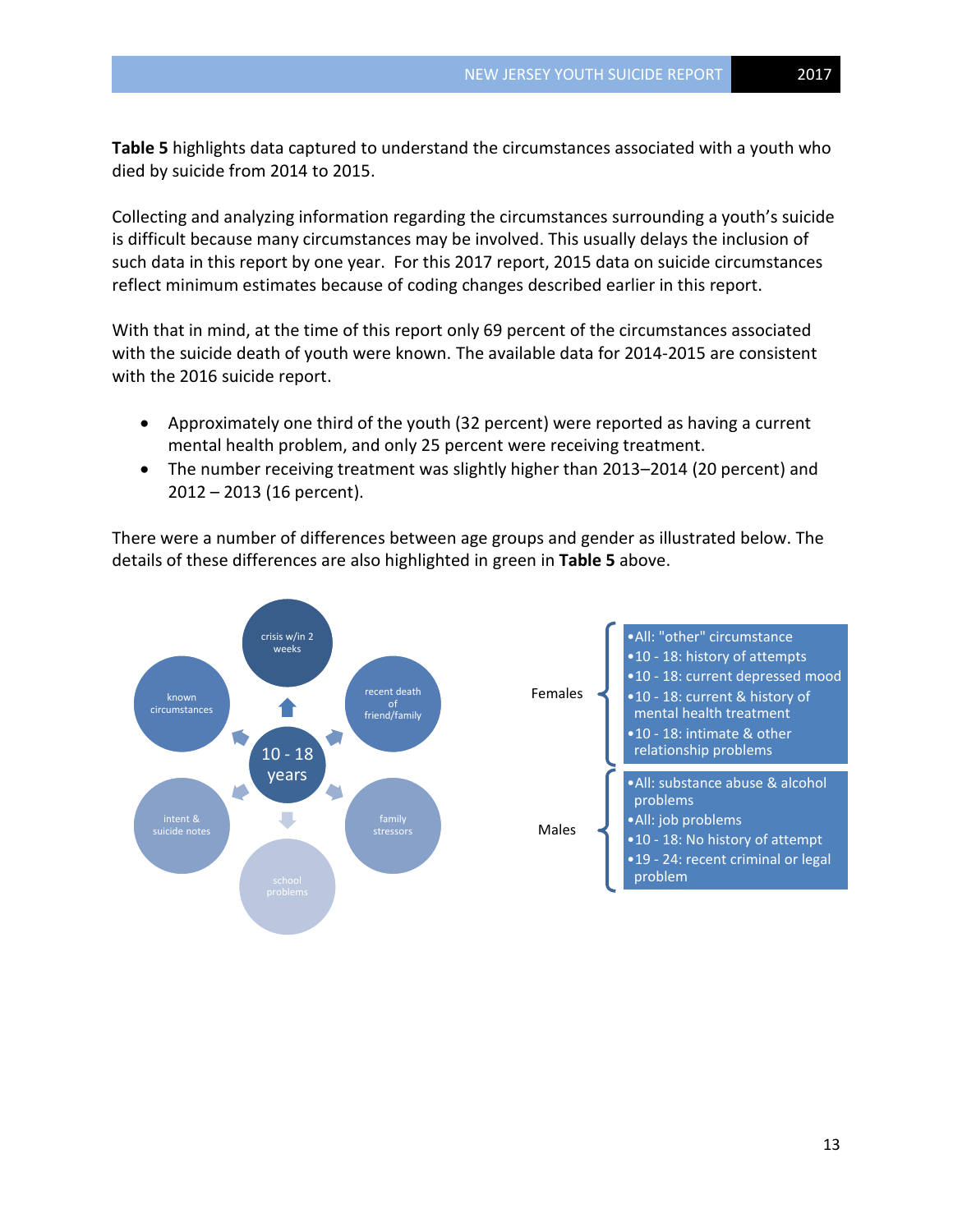**Table 5** highlights data captured to understand the circumstances associated with a youth who died by suicide from 2014 to 2015.

Collecting and analyzing information regarding the circumstances surrounding a youth's suicide is difficult because many circumstances may be involved. This usually delays the inclusion of such data in this report by one year. For this 2017 report, 2015 data on suicide circumstances reflect minimum estimates because of coding changes described earlier in this report.

With that in mind, at the time of this report only 69 percent of the circumstances associated with the suicide death of youth were known. The available data for 2014-2015 are consistent with the 2016 suicide report.

- Approximately one third of the youth (32 percent) were reported as having a current mental health problem, and only 25 percent were receiving treatment.
- The number receiving treatment was slightly higher than 2013–2014 (20 percent) and 2012 – 2013 (16 percent).

There were a number of differences between age groups and gender as illustrated below. The details of these differences are also highlighted in green in **Table 5** above.

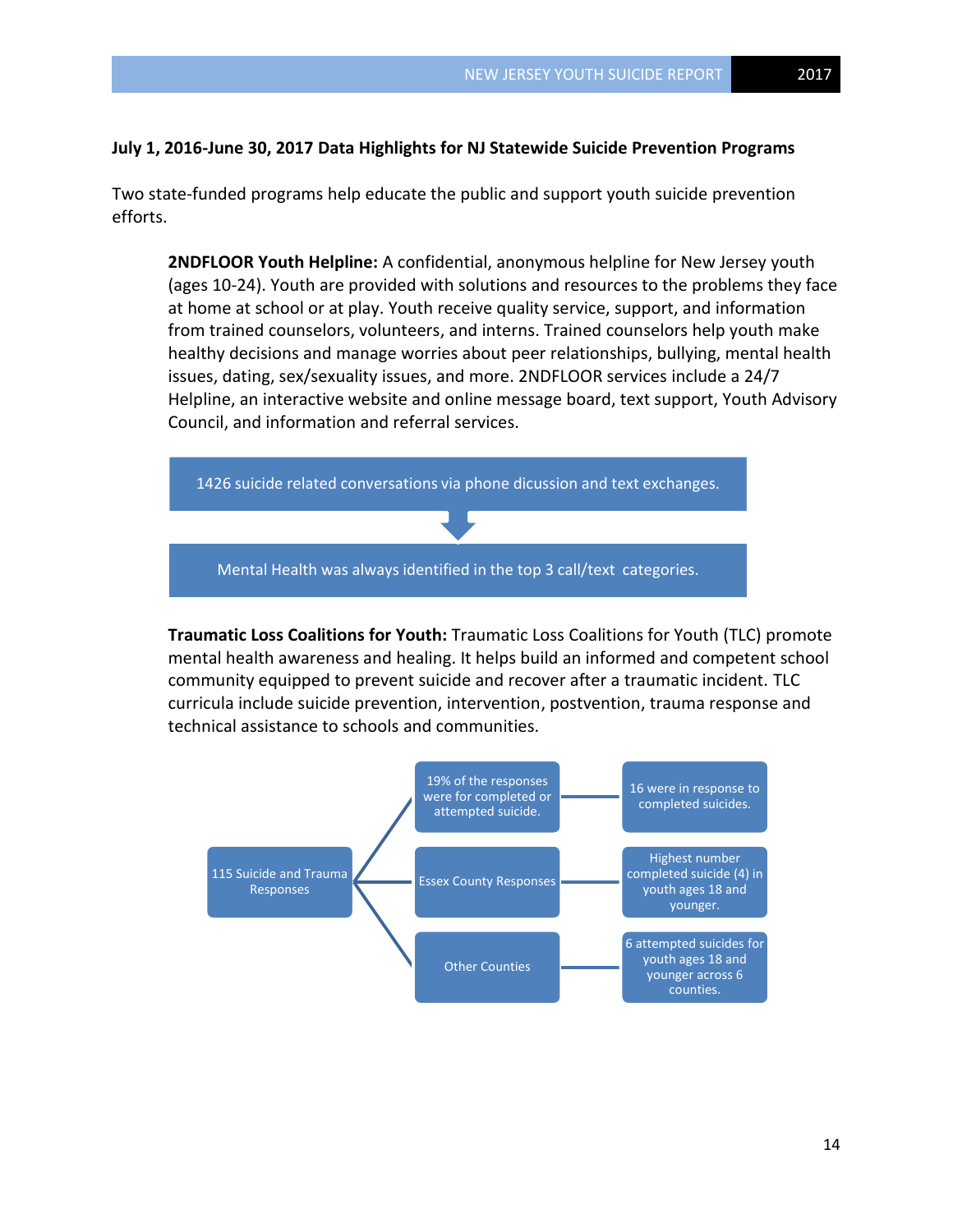## **July 1, 2016-June 30, 2017 Data Highlights for NJ Statewide Suicide Prevention Programs**

Two state-funded programs help educate the public and support youth suicide prevention efforts.

**2NDFLOOR Youth Helpline:** A confidential, anonymous helpline for New Jersey youth (ages 10-24). Youth are provided with solutions and resources to the problems they face at home at school or at play. Youth receive quality service, support, and information from trained counselors, volunteers, and interns. Trained counselors help youth make healthy decisions and manage worries about peer relationships, bullying, mental health issues, dating, sex/sexuality issues, and more. 2NDFLOOR services include a 24/7 Helpline, an interactive website and online message board, text support, Youth Advisory Council, and information and referral services.



**Traumatic Loss Coalitions for Youth:** Traumatic Loss Coalitions for Youth (TLC) promote mental health awareness and healing. It helps build an informed and competent school community equipped to prevent suicide and recover after a traumatic incident. TLC curricula include suicide prevention, intervention, postvention, trauma response and technical assistance to schools and communities.

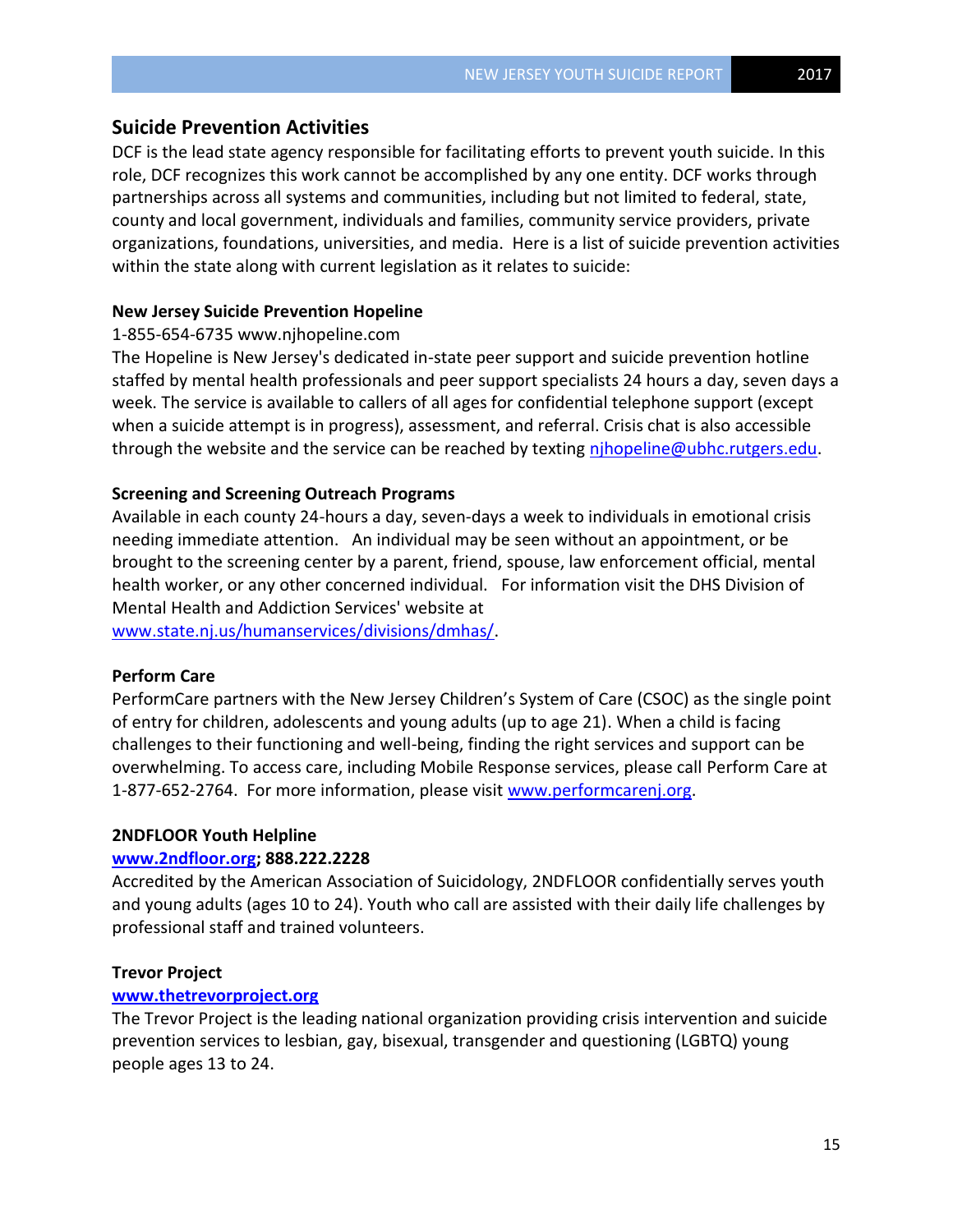# **Suicide Prevention Activities**

DCF is the lead state agency responsible for facilitating efforts to prevent youth suicide. In this role, DCF recognizes this work cannot be accomplished by any one entity. DCF works through partnerships across all systems and communities, including but not limited to federal, state, county and local government, individuals and families, community service providers, private organizations, foundations, universities, and media. Here is a list of suicide prevention activities within the state along with current legislation as it relates to suicide:

# **New Jersey Suicide Prevention Hopeline**

# 1-855-654-6735 www.njhopeline.com

The Hopeline is New Jersey's dedicated in-state peer support and suicide prevention hotline staffed by mental health professionals and peer support specialists 24 hours a day, seven days a week. The service is available to callers of all ages for confidential telephone support (except when a suicide attempt is in progress), assessment, and referral. Crisis chat is also accessible through the website and the service can be reached by texting nihopeline@ubhc.rutgers.edu.

## **Screening and Screening Outreach Programs**

Available in each county 24-hours a day, seven-days a week to individuals in emotional crisis needing immediate attention. An individual may be seen without an appointment, or be brought to the screening center by a parent, friend, spouse, law enforcement official, mental health worker, or any other concerned individual. For information visit the DHS Division of Mental Health and Addiction Services' website at

[www.state.nj.us/humanservices/divisions/dmhas/.](http://www.state.nj.us/humanservices/divisions/dmhas/)

# **Perform Care**

PerformCare partners with the New Jersey Children's System of Care (CSOC) as the single point of entry for children, adolescents and young adults (up to age 21). When a child is facing challenges to their functioning and well-being, finding the right services and support can be overwhelming. To access care, including Mobile Response services, please call Perform Care at 1-877-652-2764. For more information, please visit [www.performcarenj.org.](http://www.performcarenj.org/)

#### **2NDFLOOR Youth Helpline**

#### **[www.2ndfloor.org;](http://www.2ndfloor.org/) 888.222.2228**

Accredited by the American Association of Suicidology, 2NDFLOOR confidentially serves youth and young adults (ages 10 to 24). Youth who call are assisted with their daily life challenges by professional staff and trained volunteers.

### **Trevor Project**

# **[www.thetrevorproject.org](http://www.thetrevorproject.org/)**

The Trevor Project is the leading national organization providing crisis intervention and suicide prevention services to lesbian, gay, bisexual, transgender and questioning (LGBTQ) young people ages 13 to 24.